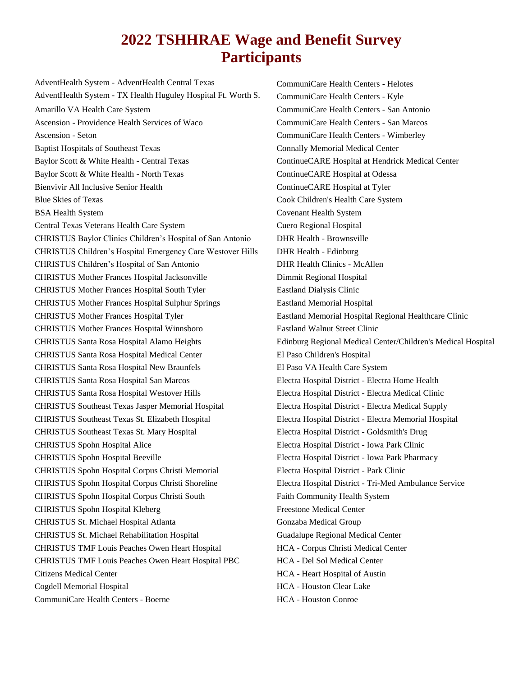## **2022 TSHHRAE Wage and Benefit Survey Participants**

AdventHealth System - AdventHealth Central Texas AdventHealth System - TX Health Huguley Hospital Ft. Worth S. Amarillo VA Health Care System Ascension - Providence Health Services of Waco Ascension - Seton Baptist Hospitals of Southeast Texas Baylor Scott & White Health - Central Texas Baylor Scott & White Health - North Texas Bienvivir All Inclusive Senior Health Blue Skies of Texas BSA Health System Central Texas Veterans Health Care System CHRISTUS Baylor Clinics Children's Hospital of San Antonio CHRISTUS Children's Hospital Emergency Care Westover Hills CHRISTUS Children's Hospital of San Antonio CHRISTUS Mother Frances Hospital Jacksonville CHRISTUS Mother Frances Hospital South Tyler CHRISTUS Mother Frances Hospital Sulphur Springs CHRISTUS Mother Frances Hospital Tyler CHRISTUS Mother Frances Hospital Winnsboro CHRISTUS Santa Rosa Hospital Alamo Heights CHRISTUS Santa Rosa Hospital Medical Center CHRISTUS Santa Rosa Hospital New Braunfels CHRISTUS Santa Rosa Hospital San Marcos CHRISTUS Santa Rosa Hospital Westover Hills CHRISTUS Southeast Texas Jasper Memorial Hospital CHRISTUS Southeast Texas St. Elizabeth Hospital CHRISTUS Southeast Texas St. Mary Hospital CHRISTUS Spohn Hospital Alice CHRISTUS Spohn Hospital Beeville CHRISTUS Spohn Hospital Corpus Christi Memorial CHRISTUS Spohn Hospital Corpus Christi Shoreline CHRISTUS Spohn Hospital Corpus Christi South CHRISTUS Spohn Hospital Kleberg CHRISTUS St. Michael Hospital Atlanta CHRISTUS St. Michael Rehabilitation Hospital CHRISTUS TMF Louis Peaches Owen Heart Hospital CHRISTUS TMF Louis Peaches Owen Heart Hospital PBC Citizens Medical Center Cogdell Memorial Hospital CommuniCare Health Centers - Boerne

CommuniCare Health Centers - Helotes CommuniCare Health Centers - Kyle CommuniCare Health Centers - San Antonio CommuniCare Health Centers - San Marcos CommuniCare Health Centers - Wimberley Connally Memorial Medical Center ContinueCARE Hospital at Hendrick Medical Center ContinueCARE Hospital at Odessa ContinueCARE Hospital at Tyler Cook Children's Health Care System Covenant Health System Cuero Regional Hospital DHR Health - Brownsville DHR Health - Edinburg DHR Health Clinics - McAllen Dimmit Regional Hospital Eastland Dialysis Clinic Eastland Memorial Hospital Eastland Memorial Hospital Regional Healthcare Clinic Eastland Walnut Street Clinic Edinburg Regional Medical Center/Children's Medical Hospital El Paso Children's Hospital El Paso VA Health Care System Electra Hospital District - Electra Home Health Electra Hospital District - Electra Medical Clinic Electra Hospital District - Electra Medical Supply Electra Hospital District - Electra Memorial Hospital Electra Hospital District - Goldsmith's Drug Electra Hospital District - Iowa Park Clinic Electra Hospital District - Iowa Park Pharmacy Electra Hospital District - Park Clinic Electra Hospital District - Tri-Med Ambulance Service Faith Community Health System Freestone Medical Center Gonzaba Medical Group Guadalupe Regional Medical Center HCA - Corpus Christi Medical Center HCA - Del Sol Medical Center HCA - Heart Hospital of Austin HCA - Houston Clear Lake HCA - Houston Conroe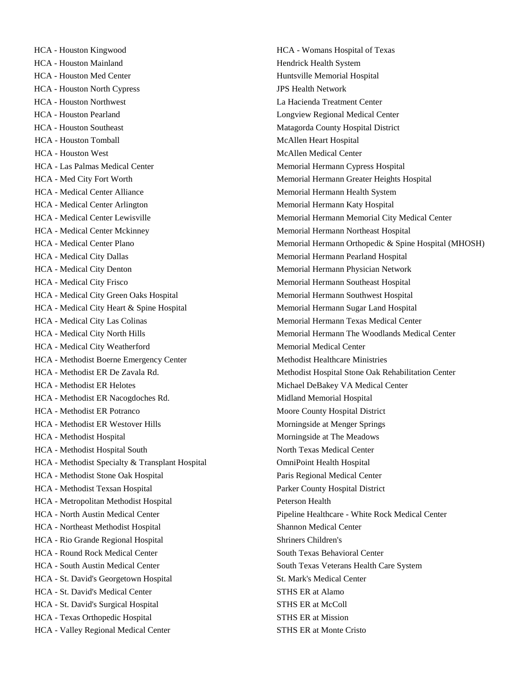HCA - Houston Kingwood HCA - Houston Mainland HCA - Houston Med Center HCA - Houston North Cypress HCA - Houston Northwest HCA - Houston Pearland HCA - Houston Southeast HCA - Houston Tomball HCA - Houston West HCA - Las Palmas Medical Center HCA - Med City Fort Worth HCA - Medical Center Alliance HCA - Medical Center Arlington HCA - Medical Center Lewisville HCA - Medical Center Mckinney HCA - Medical Center Plano HCA - Medical City Dallas HCA - Medical City Denton HCA - Medical City Frisco HCA - Medical City Green Oaks Hospital HCA - Medical City Heart & Spine Hospital HCA - Medical City Las Colinas HCA - Medical City North Hills HCA - Medical City Weatherford HCA - Methodist Boerne Emergency Center HCA - Methodist ER De Zavala Rd. HCA - Methodist ER Helotes HCA - Methodist ER Nacogdoches Rd. HCA - Methodist ER Potranco HCA - Methodist ER Westover Hills HCA - Methodist Hospital HCA - Methodist Hospital South HCA - Methodist Specialty & Transplant Hospital HCA - Methodist Stone Oak Hospital HCA - Methodist Texsan Hospital HCA - Metropolitan Methodist Hospital HCA - North Austin Medical Center HCA - Northeast Methodist Hospital HCA - Rio Grande Regional Hospital HCA - Round Rock Medical Center HCA - South Austin Medical Center HCA - St. David's Georgetown Hospital HCA - St. David's Medical Center HCA - St. David's Surgical Hospital HCA - Texas Orthopedic Hospital HCA - Valley Regional Medical Center

HCA - Womans Hospital of Texas Hendrick Health System Huntsville Memorial Hospital JPS Health Network La Hacienda Treatment Center Longview Regional Medical Center Matagorda County Hospital District McAllen Heart Hospital McAllen Medical Center Memorial Hermann Cypress Hospital Memorial Hermann Greater Heights Hospital Memorial Hermann Health System Memorial Hermann Katy Hospital Memorial Hermann Memorial City Medical Center Memorial Hermann Northeast Hospital Memorial Hermann Orthopedic & Spine Hospital (MHOSH) Memorial Hermann Pearland Hospital Memorial Hermann Physician Network Memorial Hermann Southeast Hospital Memorial Hermann Southwest Hospital Memorial Hermann Sugar Land Hospital Memorial Hermann Texas Medical Center Memorial Hermann The Woodlands Medical Center Memorial Medical Center Methodist Healthcare Ministries Methodist Hospital Stone Oak Rehabilitation Center Michael DeBakey VA Medical Center Midland Memorial Hospital Moore County Hospital District Morningside at Menger Springs Morningside at The Meadows North Texas Medical Center OmniPoint Health Hospital Paris Regional Medical Center Parker County Hospital District Peterson Health Pipeline Healthcare - White Rock Medical Center Shannon Medical Center Shriners Children's South Texas Behavioral Center South Texas Veterans Health Care System St. Mark's Medical Center STHS ER at Alamo STHS ER at McColl STHS ER at Mission STHS ER at Monte Cristo